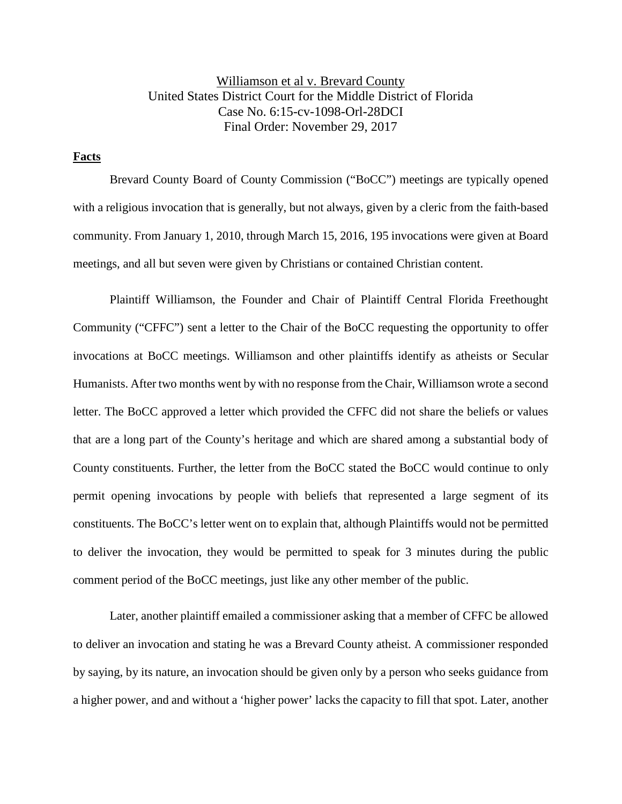Williamson et al v. Brevard County United States District Court for the Middle District of Florida Case No. 6:15-cv-1098-Orl-28DCI Final Order: November 29, 2017

# **Facts**

Brevard County Board of County Commission ("BoCC") meetings are typically opened with a religious invocation that is generally, but not always, given by a cleric from the faith-based community. From January 1, 2010, through March 15, 2016, 195 invocations were given at Board meetings, and all but seven were given by Christians or contained Christian content.

Plaintiff Williamson, the Founder and Chair of Plaintiff Central Florida Freethought Community ("CFFC") sent a letter to the Chair of the BoCC requesting the opportunity to offer invocations at BoCC meetings. Williamson and other plaintiffs identify as atheists or Secular Humanists. After two months went by with no response from the Chair, Williamson wrote a second letter. The BoCC approved a letter which provided the CFFC did not share the beliefs or values that are a long part of the County's heritage and which are shared among a substantial body of County constituents. Further, the letter from the BoCC stated the BoCC would continue to only permit opening invocations by people with beliefs that represented a large segment of its constituents. The BoCC's letter went on to explain that, although Plaintiffs would not be permitted to deliver the invocation, they would be permitted to speak for 3 minutes during the public comment period of the BoCC meetings, just like any other member of the public.

Later, another plaintiff emailed a commissioner asking that a member of CFFC be allowed to deliver an invocation and stating he was a Brevard County atheist. A commissioner responded by saying, by its nature, an invocation should be given only by a person who seeks guidance from a higher power, and and without a 'higher power' lacks the capacity to fill that spot. Later, another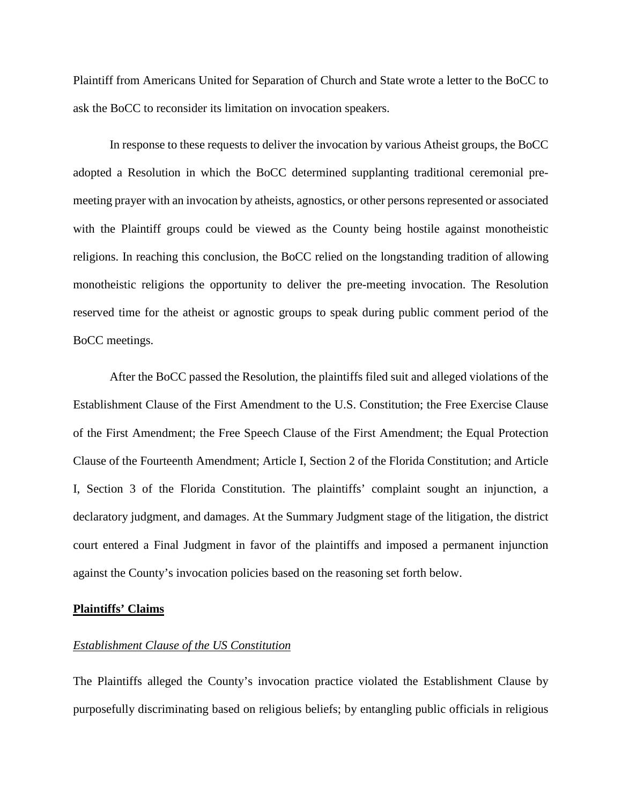Plaintiff from Americans United for Separation of Church and State wrote a letter to the BoCC to ask the BoCC to reconsider its limitation on invocation speakers.

In response to these requests to deliver the invocation by various Atheist groups, the BoCC adopted a Resolution in which the BoCC determined supplanting traditional ceremonial premeeting prayer with an invocation by atheists, agnostics, or other persons represented or associated with the Plaintiff groups could be viewed as the County being hostile against monotheistic religions. In reaching this conclusion, the BoCC relied on the longstanding tradition of allowing monotheistic religions the opportunity to deliver the pre-meeting invocation. The Resolution reserved time for the atheist or agnostic groups to speak during public comment period of the BoCC meetings.

After the BoCC passed the Resolution, the plaintiffs filed suit and alleged violations of the Establishment Clause of the First Amendment to the U.S. Constitution; the Free Exercise Clause of the First Amendment; the Free Speech Clause of the First Amendment; the Equal Protection Clause of the Fourteenth Amendment; Article I, Section 2 of the Florida Constitution; and Article I, Section 3 of the Florida Constitution. The plaintiffs' complaint sought an injunction, a declaratory judgment, and damages. At the Summary Judgment stage of the litigation, the district court entered a Final Judgment in favor of the plaintiffs and imposed a permanent injunction against the County's invocation policies based on the reasoning set forth below.

#### **Plaintiffs' Claims**

#### *Establishment Clause of the US Constitution*

The Plaintiffs alleged the County's invocation practice violated the Establishment Clause by purposefully discriminating based on religious beliefs; by entangling public officials in religious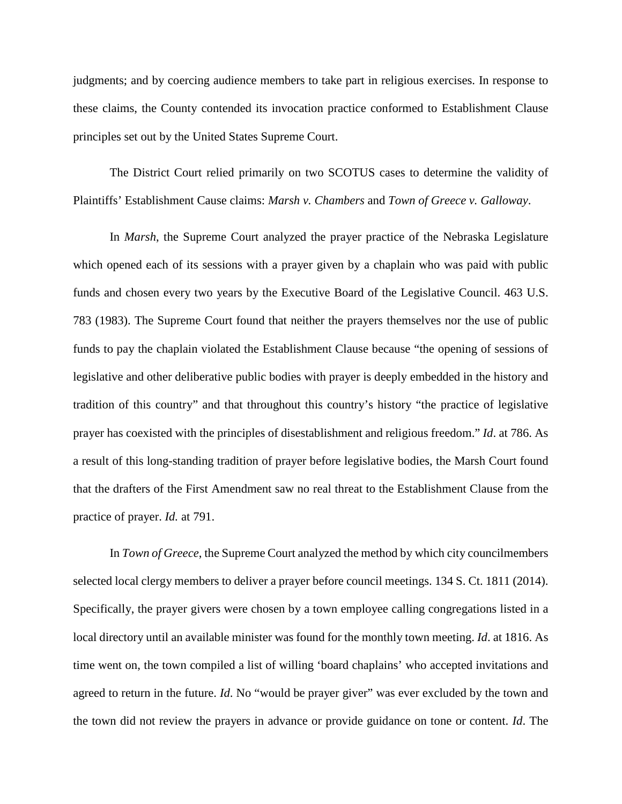judgments; and by coercing audience members to take part in religious exercises. In response to these claims, the County contended its invocation practice conformed to Establishment Clause principles set out by the United States Supreme Court.

The District Court relied primarily on two SCOTUS cases to determine the validity of Plaintiffs' Establishment Cause claims: *Marsh v. Chambers* and *Town of Greece v. Galloway*.

In *Marsh*, the Supreme Court analyzed the prayer practice of the Nebraska Legislature which opened each of its sessions with a prayer given by a chaplain who was paid with public funds and chosen every two years by the Executive Board of the Legislative Council. 463 U.S. 783 (1983). The Supreme Court found that neither the prayers themselves nor the use of public funds to pay the chaplain violated the Establishment Clause because "the opening of sessions of legislative and other deliberative public bodies with prayer is deeply embedded in the history and tradition of this country" and that throughout this country's history "the practice of legislative prayer has coexisted with the principles of disestablishment and religious freedom." *Id*. at 786. As a result of this long-standing tradition of prayer before legislative bodies, the Marsh Court found that the drafters of the First Amendment saw no real threat to the Establishment Clause from the practice of prayer. *Id.* at 791.

In *Town of Greece*, the Supreme Court analyzed the method by which city councilmembers selected local clergy members to deliver a prayer before council meetings. 134 S. Ct. 1811 (2014). Specifically, the prayer givers were chosen by a town employee calling congregations listed in a local directory until an available minister was found for the monthly town meeting. *Id*. at 1816. As time went on, the town compiled a list of willing 'board chaplains' who accepted invitations and agreed to return in the future. *Id*. No "would be prayer giver" was ever excluded by the town and the town did not review the prayers in advance or provide guidance on tone or content. *Id*. The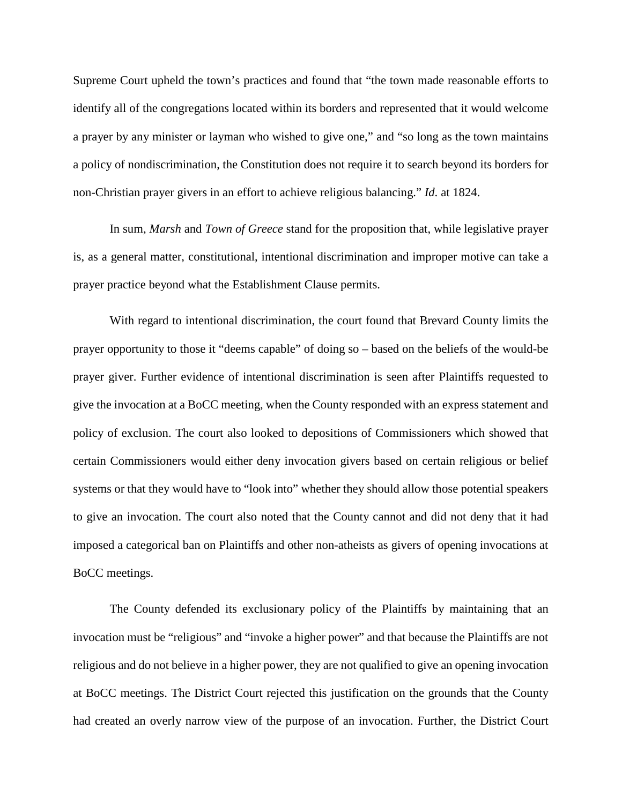Supreme Court upheld the town's practices and found that "the town made reasonable efforts to identify all of the congregations located within its borders and represented that it would welcome a prayer by any minister or layman who wished to give one," and "so long as the town maintains a policy of nondiscrimination, the Constitution does not require it to search beyond its borders for non-Christian prayer givers in an effort to achieve religious balancing." *Id*. at 1824.

In sum, *Marsh* and *Town of Greece* stand for the proposition that, while legislative prayer is, as a general matter, constitutional, intentional discrimination and improper motive can take a prayer practice beyond what the Establishment Clause permits.

With regard to intentional discrimination, the court found that Brevard County limits the prayer opportunity to those it "deems capable" of doing so – based on the beliefs of the would-be prayer giver. Further evidence of intentional discrimination is seen after Plaintiffs requested to give the invocation at a BoCC meeting, when the County responded with an express statement and policy of exclusion. The court also looked to depositions of Commissioners which showed that certain Commissioners would either deny invocation givers based on certain religious or belief systems or that they would have to "look into" whether they should allow those potential speakers to give an invocation. The court also noted that the County cannot and did not deny that it had imposed a categorical ban on Plaintiffs and other non-atheists as givers of opening invocations at BoCC meetings.

The County defended its exclusionary policy of the Plaintiffs by maintaining that an invocation must be "religious" and "invoke a higher power" and that because the Plaintiffs are not religious and do not believe in a higher power, they are not qualified to give an opening invocation at BoCC meetings. The District Court rejected this justification on the grounds that the County had created an overly narrow view of the purpose of an invocation. Further, the District Court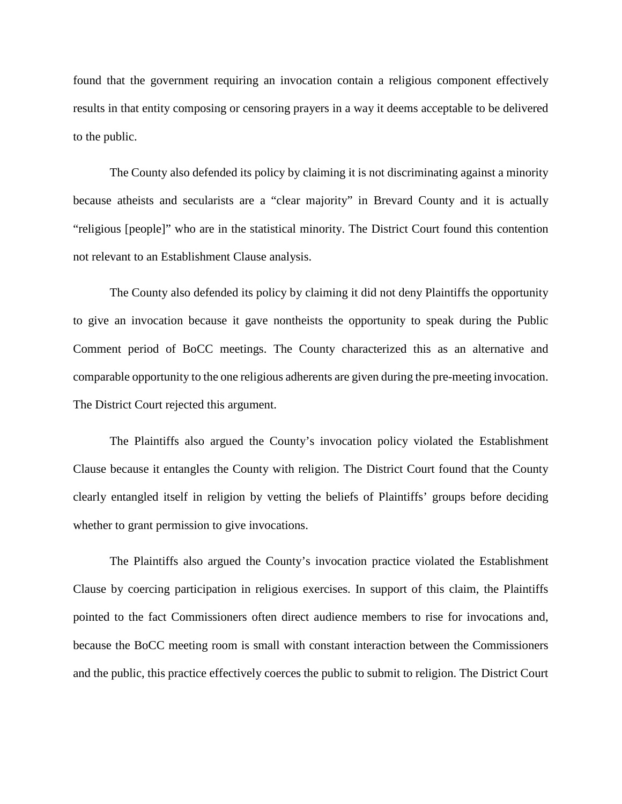found that the government requiring an invocation contain a religious component effectively results in that entity composing or censoring prayers in a way it deems acceptable to be delivered to the public.

The County also defended its policy by claiming it is not discriminating against a minority because atheists and secularists are a "clear majority" in Brevard County and it is actually "religious [people]" who are in the statistical minority. The District Court found this contention not relevant to an Establishment Clause analysis.

The County also defended its policy by claiming it did not deny Plaintiffs the opportunity to give an invocation because it gave nontheists the opportunity to speak during the Public Comment period of BoCC meetings. The County characterized this as an alternative and comparable opportunity to the one religious adherents are given during the pre-meeting invocation. The District Court rejected this argument.

The Plaintiffs also argued the County's invocation policy violated the Establishment Clause because it entangles the County with religion. The District Court found that the County clearly entangled itself in religion by vetting the beliefs of Plaintiffs' groups before deciding whether to grant permission to give invocations.

The Plaintiffs also argued the County's invocation practice violated the Establishment Clause by coercing participation in religious exercises. In support of this claim, the Plaintiffs pointed to the fact Commissioners often direct audience members to rise for invocations and, because the BoCC meeting room is small with constant interaction between the Commissioners and the public, this practice effectively coerces the public to submit to religion. The District Court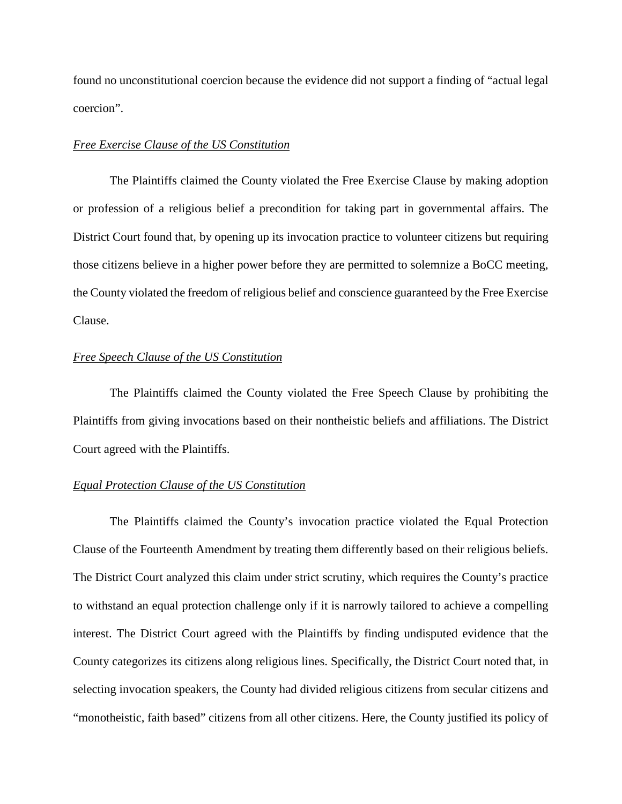found no unconstitutional coercion because the evidence did not support a finding of "actual legal coercion".

## *Free Exercise Clause of the US Constitution*

The Plaintiffs claimed the County violated the Free Exercise Clause by making adoption or profession of a religious belief a precondition for taking part in governmental affairs. The District Court found that, by opening up its invocation practice to volunteer citizens but requiring those citizens believe in a higher power before they are permitted to solemnize a BoCC meeting, the County violated the freedom of religious belief and conscience guaranteed by the Free Exercise Clause.

## *Free Speech Clause of the US Constitution*

The Plaintiffs claimed the County violated the Free Speech Clause by prohibiting the Plaintiffs from giving invocations based on their nontheistic beliefs and affiliations. The District Court agreed with the Plaintiffs.

#### *Equal Protection Clause of the US Constitution*

The Plaintiffs claimed the County's invocation practice violated the Equal Protection Clause of the Fourteenth Amendment by treating them differently based on their religious beliefs. The District Court analyzed this claim under strict scrutiny, which requires the County's practice to withstand an equal protection challenge only if it is narrowly tailored to achieve a compelling interest. The District Court agreed with the Plaintiffs by finding undisputed evidence that the County categorizes its citizens along religious lines. Specifically, the District Court noted that, in selecting invocation speakers, the County had divided religious citizens from secular citizens and "monotheistic, faith based" citizens from all other citizens. Here, the County justified its policy of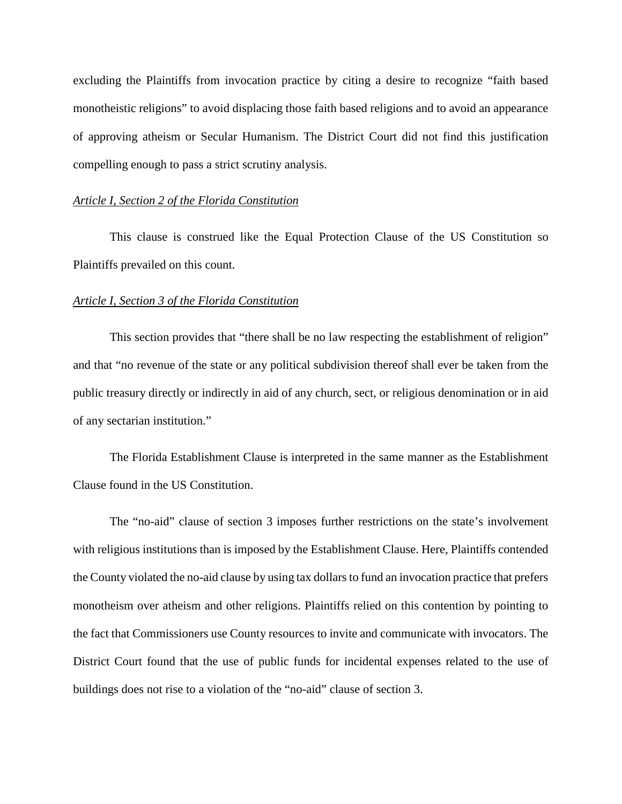excluding the Plaintiffs from invocation practice by citing a desire to recognize "faith based monotheistic religions" to avoid displacing those faith based religions and to avoid an appearance of approving atheism or Secular Humanism. The District Court did not find this justification compelling enough to pass a strict scrutiny analysis.

#### *Article I, Section 2 of the Florida Constitution*

This clause is construed like the Equal Protection Clause of the US Constitution so Plaintiffs prevailed on this count.

#### *Article I, Section 3 of the Florida Constitution*

This section provides that "there shall be no law respecting the establishment of religion" and that "no revenue of the state or any political subdivision thereof shall ever be taken from the public treasury directly or indirectly in aid of any church, sect, or religious denomination or in aid of any sectarian institution."

The Florida Establishment Clause is interpreted in the same manner as the Establishment Clause found in the US Constitution.

The "no-aid" clause of section 3 imposes further restrictions on the state's involvement with religious institutions than is imposed by the Establishment Clause. Here, Plaintiffs contended the County violated the no-aid clause by using tax dollars to fund an invocation practice that prefers monotheism over atheism and other religions. Plaintiffs relied on this contention by pointing to the fact that Commissioners use County resources to invite and communicate with invocators. The District Court found that the use of public funds for incidental expenses related to the use of buildings does not rise to a violation of the "no-aid" clause of section 3.